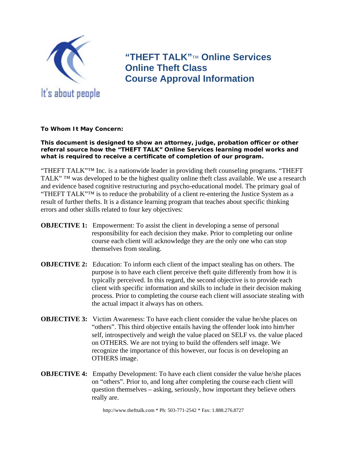

**"THEFT TALK"**™ **Online Services Online Theft Class Course Approval Information** 

**To Whom It May Concern:** 

**This document is designed to show an attorney, judge, probation officer or other referral source how the "THEFT TALK" Online Services learning model works and what is required to receive a certificate of completion of our program.** 

"THEFT TALK"™ Inc. is a nationwide leader in providing theft counseling programs. "THEFT TALK" ™ was developed to be the highest quality online theft class available. We use a research and evidence based cognitive restructuring and psycho-educational model. The primary goal of "THEFT TALK"™ is to reduce the probability of a client re-entering the Justice System as a result of further thefts. It is a distance learning program that teaches about specific thinking errors and other skills related to four key objectives:

- **OBJECTIVE 1:** Empowerment: To assist the client in developing a sense of personal responsibility for each decision they make. Prior to completing our online course each client will acknowledge they are the only one who can stop themselves from stealing.
- **OBJECTIVE 2:** Education: To inform each client of the impact stealing has on others. The purpose is to have each client perceive theft quite differently from how it is typically perceived. In this regard, the second objective is to provide each client with specific information and skills to include in their decision making process. Prior to completing the course each client will associate stealing with the actual impact it always has on others.
- **OBJECTIVE 3:** Victim Awareness: To have each client consider the value he/she places on "others". This third objective entails having the offender look into him/her self, introspectively and weigh the value placed on SELF vs. the value placed on OTHERS. We are not trying to build the offenders self image. We recognize the importance of this however, our focus is on developing an OTHERS image.
- **OBJECTIVE 4:** Empathy Development: To have each client consider the value he/she places on "others". Prior to, and long after completing the course each client will question themselves – asking, seriously, how important they believe others really are.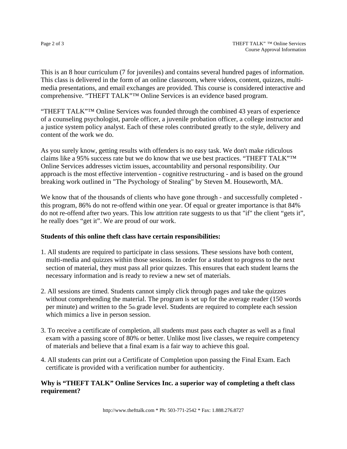This is an 8 hour curriculum (7 for juveniles) and contains several hundred pages of information. This class is delivered in the form of an online classroom, where videos, content, quizzes, multimedia presentations, and email exchanges are provided. This course is considered interactive and comprehensive. "THEFT TALK"™ Online Services is an evidence based program.

"THEFT TALK"™ Online Services was founded through the combined 43 years of experience of a counseling psychologist, parole officer, a juvenile probation officer, a college instructor and a justice system policy analyst. Each of these roles contributed greatly to the style, delivery and content of the work we do.

As you surely know, getting results with offenders is no easy task. We don't make ridiculous claims like a 95% success rate but we do know that we use best practices. "THEFT TALK"™ Online Services addresses victim issues, accountability and personal responsibility. Our approach is the most effective intervention - cognitive restructuring - and is based on the ground breaking work outlined in "The Psychology of Stealing" by Steven M. Houseworth, MA.

We know that of the thousands of clients who have gone through - and successfully completed this program, 86% do not re-offend within one year. Of equal or greater importance is that 84% do not re-offend after two years. This low attrition rate suggests to us that "if" the client "gets it", he really does "get it". We are proud of our work.

## **Students of this online theft class have certain responsibilities:**

- 1. All students are required to participate in class sessions. These sessions have both content, multi-media and quizzes within those sessions. In order for a student to progress to the next section of material, they must pass all prior quizzes. This ensures that each student learns the necessary information and is ready to review a new set of materials.
- 2. All sessions are timed. Students cannot simply click through pages and take the quizzes without comprehending the material. The program is set up for the average reader (150 words per minute) and written to the 5th grade level. Students are required to complete each session which mimics a live in person session.
- 3. To receive a certificate of completion, all students must pass each chapter as well as a final exam with a passing score of 80% or better. Unlike most live classes, we require competency of materials and believe that a final exam is a fair way to achieve this goal.
- 4. All students can print out a Certificate of Completion upon passing the Final Exam. Each certificate is provided with a verification number for authenticity.

## **Why is "THEFT TALK" Online Services Inc. a superior way of completing a theft class requirement?**